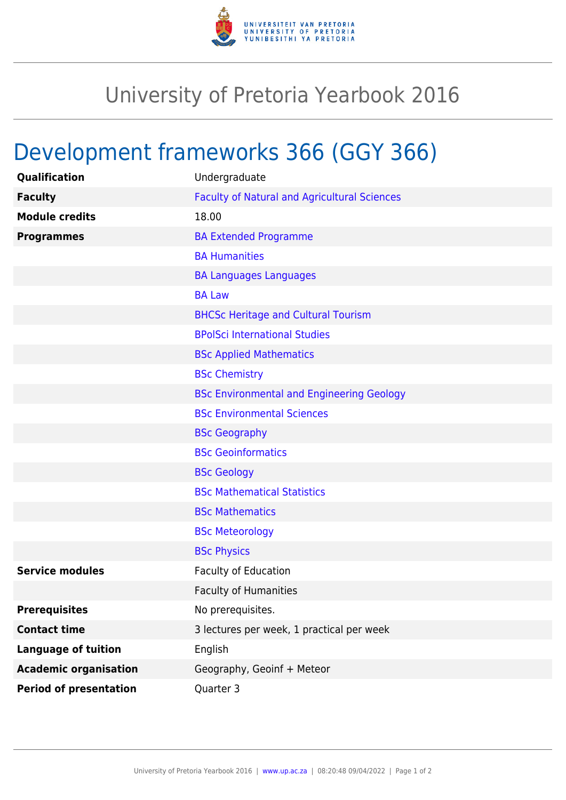

## University of Pretoria Yearbook 2016

## Development frameworks 366 (GGY 366)

| Qualification                 | Undergraduate                                       |
|-------------------------------|-----------------------------------------------------|
| <b>Faculty</b>                | <b>Faculty of Natural and Agricultural Sciences</b> |
| <b>Module credits</b>         | 18.00                                               |
| <b>Programmes</b>             | <b>BA Extended Programme</b>                        |
|                               | <b>BA Humanities</b>                                |
|                               | <b>BA Languages Languages</b>                       |
|                               | <b>BA Law</b>                                       |
|                               | <b>BHCSc Heritage and Cultural Tourism</b>          |
|                               | <b>BPolSci International Studies</b>                |
|                               | <b>BSc Applied Mathematics</b>                      |
|                               | <b>BSc Chemistry</b>                                |
|                               | <b>BSc Environmental and Engineering Geology</b>    |
|                               | <b>BSc Environmental Sciences</b>                   |
|                               | <b>BSc Geography</b>                                |
|                               | <b>BSc Geoinformatics</b>                           |
|                               | <b>BSc Geology</b>                                  |
|                               | <b>BSc Mathematical Statistics</b>                  |
|                               | <b>BSc Mathematics</b>                              |
|                               | <b>BSc Meteorology</b>                              |
|                               | <b>BSc Physics</b>                                  |
| <b>Service modules</b>        | <b>Faculty of Education</b>                         |
|                               | <b>Faculty of Humanities</b>                        |
| <b>Prerequisites</b>          | No prerequisites.                                   |
| <b>Contact time</b>           | 3 lectures per week, 1 practical per week           |
| <b>Language of tuition</b>    | English                                             |
| <b>Academic organisation</b>  | Geography, Geoinf + Meteor                          |
| <b>Period of presentation</b> | Quarter 3                                           |